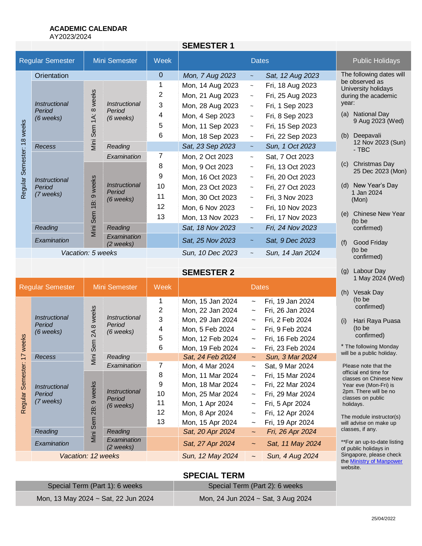## **ACADEMIC CALENDAR**

AY2023/2024

|                                  |                                                      |                                       |                                        |                | <b>SEMESTER 1</b> |                           |                          |                                                                                                                         |
|----------------------------------|------------------------------------------------------|---------------------------------------|----------------------------------------|----------------|-------------------|---------------------------|--------------------------|-------------------------------------------------------------------------------------------------------------------------|
| <b>Regular Semester</b>          |                                                      | Mini Semester                         |                                        | Week           |                   | <b>Dates</b>              |                          | <b>Public Holidays</b>                                                                                                  |
| 18 weeks<br>Semester:<br>Regular | Orientation                                          |                                       |                                        | $\overline{0}$ | Mon, 7 Aug 2023   | $\sim$                    | Sat, 12 Aug 2023         | The following dates will                                                                                                |
|                                  | <i><b>Instructional</b></i><br>Period<br>$(6$ weeks) | weeks<br>$\infty$<br>1A:<br>Viini Sem | Instructional<br>Period<br>(6 weeks)   | 1              | Mon, 14 Aug 2023  | $\widetilde{\phantom{m}}$ | Fri, 18 Aug 2023         | be observed as<br>University holidays<br>during the academic<br>year:<br><b>National Day</b><br>(a)<br>9 Aug 2023 (Wed) |
|                                  |                                                      |                                       |                                        | $\overline{2}$ | Mon, 21 Aug 2023  | $\sim$                    | Fri, 25 Aug 2023         |                                                                                                                         |
|                                  |                                                      |                                       |                                        | 3              | Mon, 28 Aug 2023  | $\sim$                    | Fri, 1 Sep 2023          |                                                                                                                         |
|                                  |                                                      |                                       |                                        | 4              | Mon, 4 Sep 2023   | $\tilde{}$                | Fri, 8 Sep 2023          |                                                                                                                         |
|                                  |                                                      |                                       |                                        | 5              | Mon, 11 Sep 2023  | $\tilde{\phantom{a}}$     | Fri, 15 Sep 2023         |                                                                                                                         |
|                                  |                                                      |                                       |                                        | 6              | Mon, 18 Sep 2023  | $\sim$                    | Fri, 22 Sep 2023         | Deepavali<br>(b)                                                                                                        |
|                                  | Recess                                               |                                       |                                        | Reading        |                   | Sat, 23 Sep 2023          | $\overline{\phantom{a}}$ | Sun, 1 Oct 2023                                                                                                         |
|                                  | <i><b>Instructional</b></i><br>Period<br>(7 weeks)   |                                       | Examination                            | 7              | Mon, 2 Oct 2023   | $\tilde{\phantom{a}}$     | Sat, 7 Oct 2023          |                                                                                                                         |
|                                  |                                                      | 9 weeks<br>ίġ<br>Mini Sem             | Instructional<br>Period<br>$(6$ weeks) | 8              | Mon, 9 Oct 2023   | $\tilde{\phantom{a}}$     | Fri, 13 Oct 2023         | Christmas Day<br>(c)<br>25 Dec 2023 (Mon)                                                                               |
|                                  |                                                      |                                       |                                        | 9              | Mon, 16 Oct 2023  | $\sim$                    | Fri, 20 Oct 2023         |                                                                                                                         |
|                                  |                                                      |                                       |                                        | 10             | Mon, 23 Oct 2023  | $\tilde{}$                | Fri, 27 Oct 2023         | New Year's Day<br>(d)                                                                                                   |
|                                  |                                                      |                                       |                                        | 11             | Mon, 30 Oct 2023  | $\tilde{\phantom{a}}$     | Fri, 3 Nov 2023          | 1 Jan 2024<br>(Mon)                                                                                                     |
|                                  |                                                      |                                       |                                        | 12             | Mon, 6 Nov 2023   | $\sim$                    | Fri, 10 Nov 2023         |                                                                                                                         |
|                                  |                                                      |                                       |                                        | 13             | Mon, 13 Nov 2023  | $\sim$                    | Fri, 17 Nov 2023         | <b>Chinese New Year</b><br>(e)<br>(to be                                                                                |
|                                  | Reading                                              |                                       | Reading                                |                | Sat, 18 Nov 2023  | $\tilde{\phantom{a}}$     | Fri, 24 Nov 2023         | confirmed)                                                                                                              |
|                                  | Examination                                          |                                       | Examination<br>(2 weeks)               |                | Sat, 25 Nov 2023  | $\tilde{\phantom{a}}$     | Sat, 9 Dec 2023          | Good Friday<br>(f)                                                                                                      |
|                                  | Vacation: 5 weeks                                    |                                       |                                        |                | Sun, 10 Dec 2023  | $\tilde{}$                | Sun, 14 Jan 2024         | (to be<br>confirmed)                                                                                                    |
|                                  |                                                      |                                       |                                        |                |                   |                           |                          |                                                                                                                         |

**SEMESTER 2**

|                                    |                                                      |                                         |                                        |             |                  |                           |                         | 1 May 2024 (Wed)                                                                                                       |  |
|------------------------------------|------------------------------------------------------|-----------------------------------------|----------------------------------------|-------------|------------------|---------------------------|-------------------------|------------------------------------------------------------------------------------------------------------------------|--|
| <b>Regular Semester</b>            |                                                      | Mini Semester                           |                                        | <b>Week</b> | <b>Dates</b>     |                           | <b>Vesak Day</b><br>(h) |                                                                                                                        |  |
| weeks<br>77<br>Semester<br>Regular | <i><b>Instructional</b></i><br>Period<br>$(6$ weeks) | weeks<br>$\infty$<br>ट्र<br>Sem<br>Mini | Instructional<br>Period<br>$(6$ weeks) |             | Mon, 15 Jan 2024 | $\tilde{}$                | Fri, 19 Jan 2024        | (to be<br>confirmed)<br>Hari Raya Puasa<br>(i)<br>(to be<br>confirmed)                                                 |  |
|                                    |                                                      |                                         |                                        | 2           | Mon, 22 Jan 2024 | $\tilde{\phantom{a}}$     | Fri, 26 Jan 2024        |                                                                                                                        |  |
|                                    |                                                      |                                         |                                        | 3           | Mon, 29 Jan 2024 | $\tilde{}$                | Fri, 2 Feb 2024         |                                                                                                                        |  |
|                                    |                                                      |                                         |                                        | 4           | Mon, 5 Feb 2024  | $\tilde{}$                | Fri, 9 Feb 2024         |                                                                                                                        |  |
|                                    |                                                      |                                         |                                        | 5           | Mon, 12 Feb 2024 | $\tilde{}$                | Fri, 16 Feb 2024        |                                                                                                                        |  |
|                                    |                                                      |                                         |                                        | 6           | Mon, 19 Feb 2024 | $\tilde{}$                | Fri, 23 Feb 2024        | * The following Monday                                                                                                 |  |
|                                    | Recess                                               |                                         | Reading                                |             | Sat, 24 Feb 2024 | $\sim$ $-$                | Sun, 3 Mar 2024         | will be a public holiday.                                                                                              |  |
|                                    | Instructional<br>Period<br>(7 weeks)                 | weeks<br>တ<br>$\overline{28}$<br>Sem    | Examination                            | 7           | Mon, 4 Mar 2024  | $\tilde{}$                | Sat, 9 Mar 2024         | Please note that the                                                                                                   |  |
|                                    |                                                      |                                         | Instructional<br>Period<br>$(6$ weeks) | 8           | Mon, 11 Mar 2024 | $\tilde{\phantom{a}}$     | Fri, 15 Mar 2024        | official end time for<br>classes on Chinese New<br>Year eve (Mon-Fri) is<br>2pm. There will be no<br>classes on public |  |
|                                    |                                                      |                                         |                                        | 9           | Mon, 18 Mar 2024 | $\widetilde{\phantom{m}}$ | Fri, 22 Mar 2024        |                                                                                                                        |  |
|                                    |                                                      |                                         |                                        | 10          | Mon, 25 Mar 2024 | $\tilde{}$                | Fri, 29 Mar 2024        |                                                                                                                        |  |
|                                    |                                                      |                                         |                                        | 11          | Mon, 1 Apr 2024  | $\tilde{}$                | Fri, 5 Apr 2024         | holidays.                                                                                                              |  |
|                                    |                                                      |                                         |                                        | 12          | Mon, 8 Apr 2024  | $\widetilde{\phantom{m}}$ | Fri, 12 Apr 2024        | The module instructor(s)<br>will advise on make up                                                                     |  |
|                                    |                                                      |                                         |                                        | 13          | Mon, 15 Apr 2024 | $\tilde{}$                | Fri, 19 Apr 2024        |                                                                                                                        |  |
|                                    | Reading                                              | Mini                                    | Reading                                |             | Sat, 20 Apr 2024 | $\sim$                    | Fri, 26 Apr 2024        | classes, if any.                                                                                                       |  |
|                                    | Examination                                          |                                         | Examination<br>(2 weeks)               |             | Sat, 27 Apr 2024 | $\tilde{\phantom{a}}$     | Sat, 11 May 2024        | **For an up-to-date listing<br>of public holidays in                                                                   |  |
|                                    | Vacation: 12 weeks                                   |                                         |                                        |             | Sun, 12 May 2024 |                           | Sun, 4 Aug 2024         | Singapore, please check<br>the Ministry of Manpower                                                                    |  |

# **SPECIAL TERM**

| Special Term (Part 1): 6 weeks      | Special Term (Part 2): 6 weeks     |
|-------------------------------------|------------------------------------|
| Mon, 13 May 2024 ~ Sat, 22 Jun 2024 | Mon, 24 Jun 2024 ~ Sat, 3 Aug 2024 |

website.

(g) Labour Day